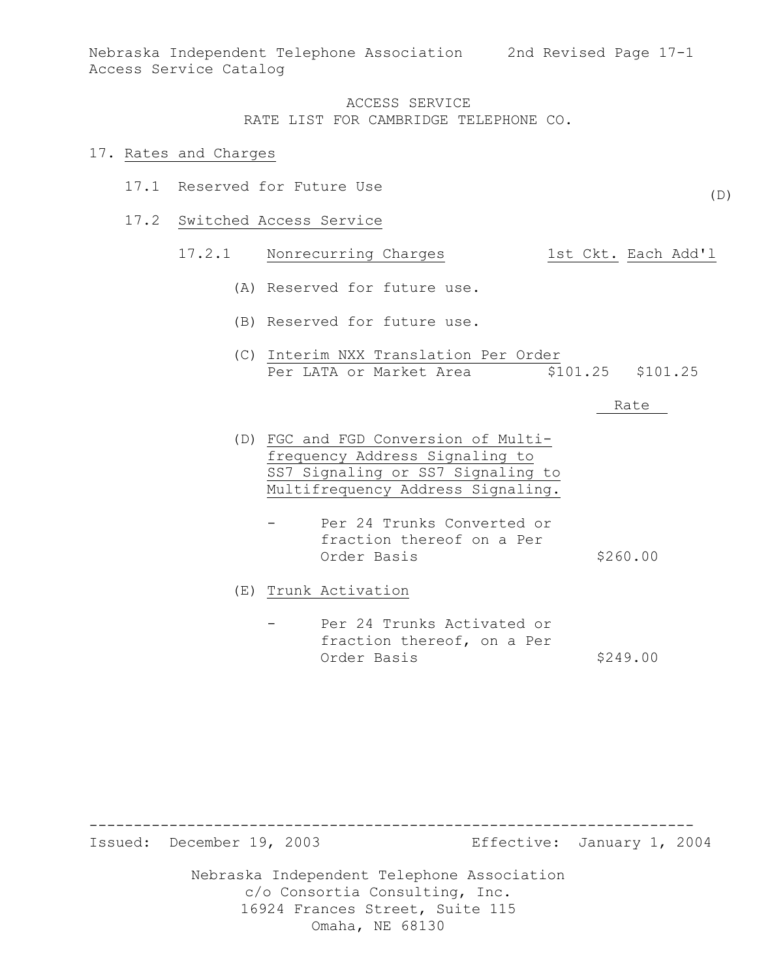Nebraska Independent Telephone Association 2nd Revised Page 17-1 Access Service Catalog

### ACCESS SERVICE RATE LIST FOR CAMBRIDGE TELEPHONE CO.

#### 17. Rates and Charges

- 17.1 Reserved for Future Use
- 17.2 Switched Access Service

# 17.2.1 Nonrecurring Charges 1st Ckt. Each Add'l

- (A) Reserved for future use.
- (B) Reserved for future use.
- (C) Interim NXX Translation Per Order Per LATA or Market Area  $$101.25$  \$101.25

#### Rate

 $(D)$ 

- (D) FGC and FGD Conversion of Multifrequency Address Signaling to SS7 Signaling or SS7 Signaling to Multifrequency Address Signaling.
	- Per 24 Trunks Converted or fraction thereof on a Per Order Basis \$260.00

(E) Trunk Activation

Per 24 Trunks Activated or fraction thereof, on a Per Order Basis \$249.00

Issued: December 19, 2003 Effective: January 1, 2004

Nebraska Independent Telephone Association c/o Consortia Consulting, Inc. 16924 Frances Street, Suite 115 Omaha, NE 68130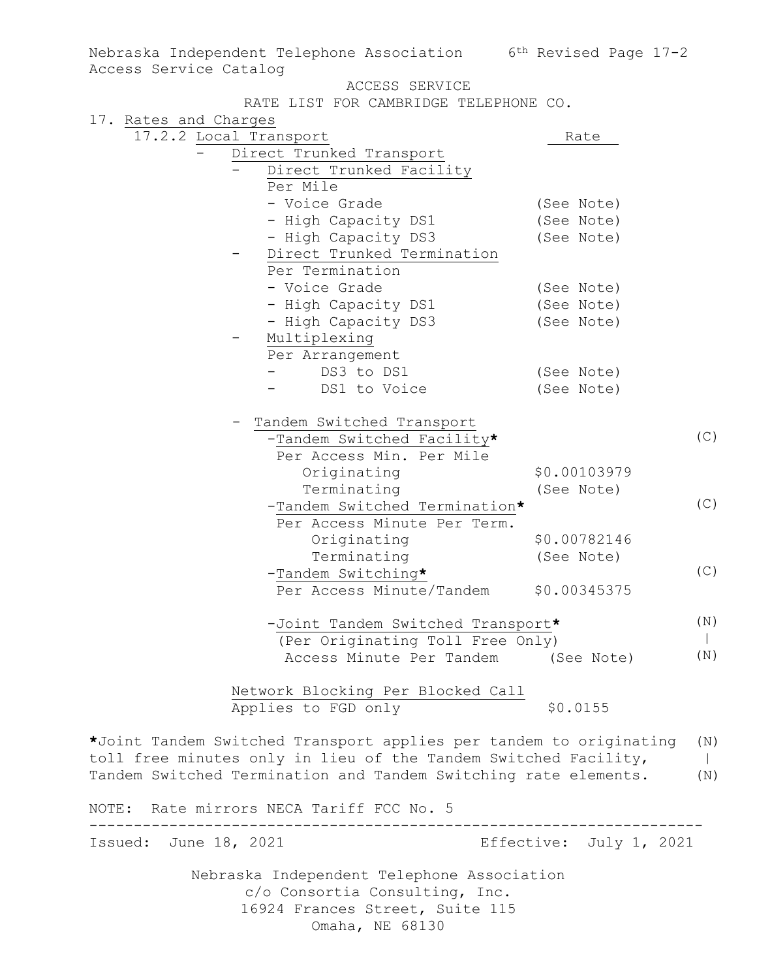| Nebraska Independent Telephone Association 6th Revised Page 17-2             |                         |     |
|------------------------------------------------------------------------------|-------------------------|-----|
| Access Service Catalog                                                       |                         |     |
| ACCESS SERVICE<br>RATE LIST FOR CAMBRIDGE TELEPHONE CO.                      |                         |     |
| 17. Rates and Charges                                                        |                         |     |
| 17.2.2 Local Transport                                                       | Rate                    |     |
| Direct Trunked Transport                                                     |                         |     |
| Direct Trunked Facility                                                      |                         |     |
| Per Mile                                                                     |                         |     |
| - Voice Grade                                                                | (See Note)              |     |
| - High Capacity DS1                                                          | (See Note)              |     |
| - High Capacity DS3                                                          | (See Note)              |     |
| Direct Trunked Termination                                                   |                         |     |
| Per Termination                                                              |                         |     |
| - Voice Grade                                                                | (See Note)              |     |
| - High Capacity DS1                                                          | (See Note)              |     |
| - High Capacity DS3                                                          | (See Note)              |     |
| Multiplexing                                                                 |                         |     |
| Per Arrangement                                                              |                         |     |
| - DS3 to DS1                                                                 | (See Note)              |     |
| DS1 to Voice                                                                 | (See Note)              |     |
| Tandem Switched Transport                                                    |                         |     |
| -Tandem Switched Facility*                                                   |                         | (C) |
| Per Access Min. Per Mile                                                     |                         |     |
| Originating                                                                  | \$0.00103979            |     |
| Terminating                                                                  | (See Note)              |     |
| -Tandem Switched Termination*                                                |                         | (C) |
| Per Access Minute Per Term.                                                  |                         |     |
| Originating                                                                  | \$0.00782146            |     |
| Terminating                                                                  | (See Note)              |     |
| -Tandem Switching*                                                           |                         | (C) |
| Per Access Minute/Tandem                                                     | \$0.00345375            |     |
| -Joint Tandem Switched Transport*                                            |                         | (N) |
| (Per Originating Toll Free Only)                                             |                         |     |
| Access Minute Per Tandem                                                     | (See Note)              | (N) |
| Network Blocking Per Blocked Call                                            |                         |     |
| Applies to FGD only                                                          | \$0.0155                |     |
| *Joint Tandem Switched Transport applies per tandem to originating           |                         | (N) |
| toll free minutes only in lieu of the Tandem Switched Facility,              |                         |     |
| Tandem Switched Termination and Tandem Switching rate elements.              |                         | (N) |
| NOTE: Rate mirrors NECA Tariff FCC No. 5                                     |                         |     |
| Issued: June 18, 2021                                                        | Effective: July 1, 2021 |     |
|                                                                              |                         |     |
| Nebraska Independent Telephone Association<br>c/o Consortia Consulting, Inc. |                         |     |
| 16924 Frances Street, Suite 115                                              |                         |     |
| Omaha, NE 68130                                                              |                         |     |
|                                                                              |                         |     |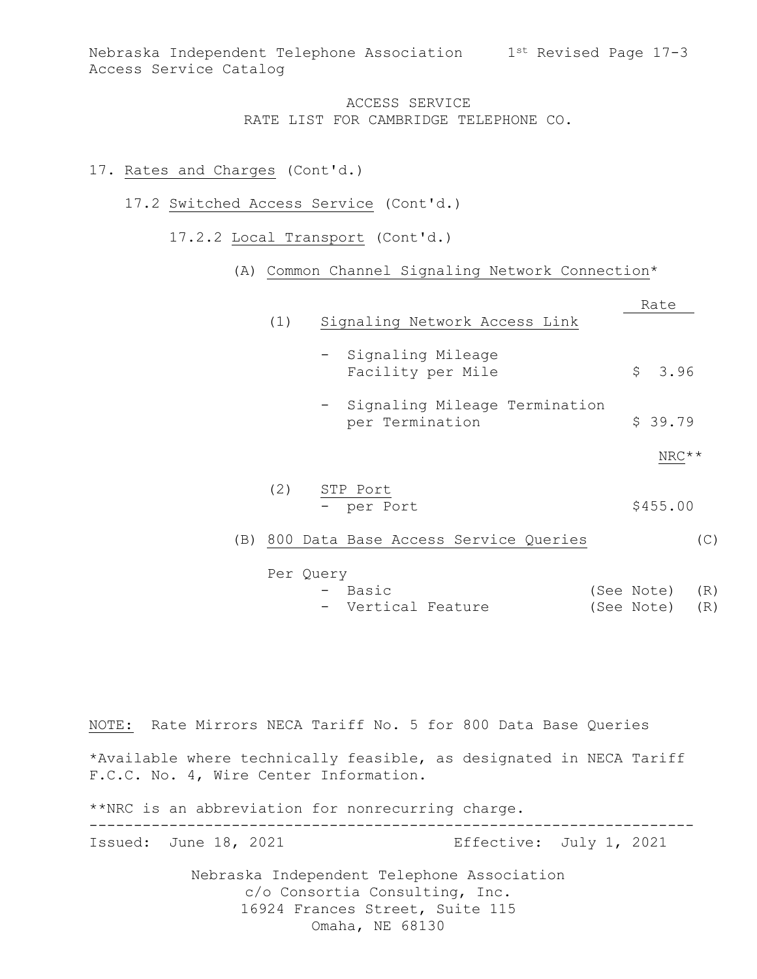Nebraska Independent Telephone Association 1st Revised Page 17-3 Access Service Catalog

### ACCESS SERVICE RATE LIST FOR CAMBRIDGE TELEPHONE CO.

#### 17. Rates and Charges (Cont'd.)

- 17.2 Switched Access Service (Cont'd.)
	- 17.2.2 Local Transport (Cont'd.)

#### (A) Common Channel Signaling Network Connection\*

|     |     |                                                    |  | Rate       |     |
|-----|-----|----------------------------------------------------|--|------------|-----|
|     | (1) | Signaling Network Access Link                      |  |            |     |
|     |     | Signaling Mileage<br>Facility per Mile             |  | \$3.96     |     |
|     |     | - Signaling Mileage Termination<br>per Termination |  | \$39.79    |     |
|     |     |                                                    |  | NRC**      |     |
|     | (2) | STP Port<br>- per Port                             |  | \$455.00   |     |
| (B) |     | 800 Data Base Access Service Queries               |  |            | (C) |
|     |     | Per Query<br>- Basic                               |  | (See Note) | (R) |
|     |     | - Vertical Feature                                 |  | (See Note) | (R) |

Nebraska Independent Telephone Association c/o Consortia Consulting, Inc. 16924 Frances Street, Suite 115 Omaha, NE 68130 NOTE: Rate Mirrors NECA Tariff No. 5 for 800 Data Base Queries \*Available where technically feasible, as designated in NECA Tariff F.C.C. No. 4, Wire Center Information. \*\*NRC is an abbreviation for nonrecurring charge. -------------------------------------------------------------------- Issued: June 18, 2021 Effective: July 1, 2021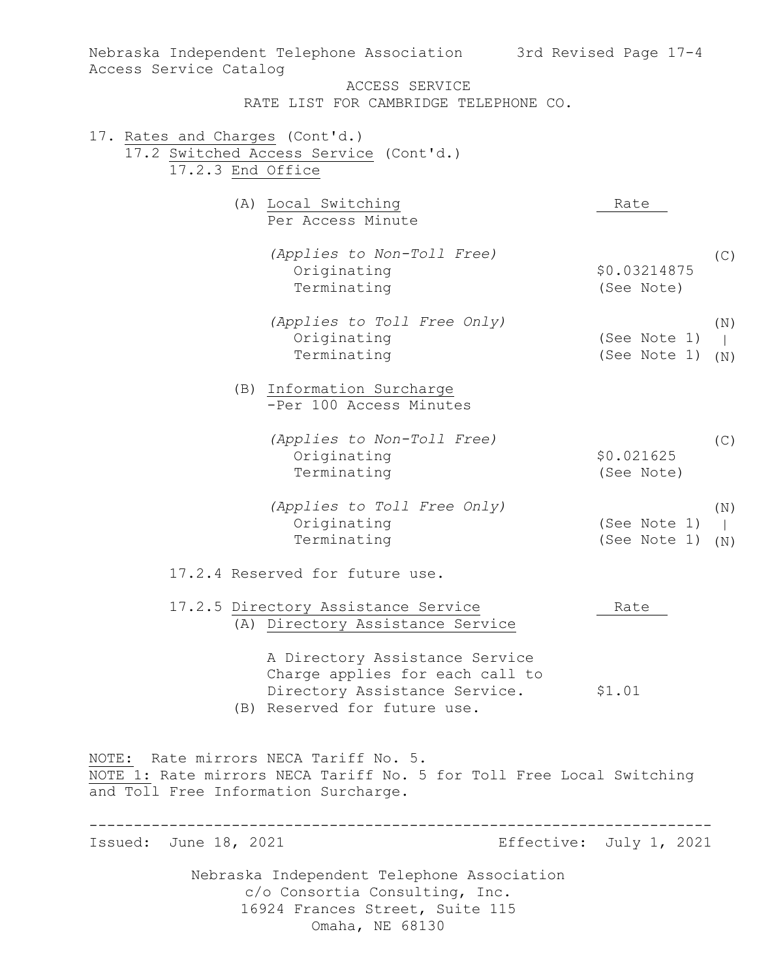| Access Service Catalog          | Nebraska Independent Telephone Association                                                                                                            | 3rd Revised Page 17-4                                      |
|---------------------------------|-------------------------------------------------------------------------------------------------------------------------------------------------------|------------------------------------------------------------|
|                                 | ACCESS SERVICE<br>RATE LIST FOR CAMBRIDGE TELEPHONE CO.                                                                                               |                                                            |
| 17. Rates and Charges (Cont'd.) | 17.2 Switched Access Service (Cont'd.)<br>17.2.3 End Office                                                                                           |                                                            |
|                                 | (A) Local Switching<br>Per Access Minute                                                                                                              | Rate                                                       |
|                                 | (Applies to Non-Toll Free)<br>Originating<br>Terminating                                                                                              | (C)<br>\$0.03214875<br>(See Note)                          |
|                                 | (Applies to Toll Free Only)<br>Originating<br>Terminating                                                                                             | (N)<br>(See Note 1)<br>$\mathbf{L}$<br>(See Note 1)<br>(N) |
|                                 | (B) Information Surcharge<br>-Per 100 Access Minutes                                                                                                  |                                                            |
|                                 | (Applies to Non-Toll Free)<br>Originating<br>Terminating                                                                                              | (C)<br>\$0.021625<br>(See Note)                            |
|                                 | (Applies to Toll Free Only)<br>Originating<br>Terminating                                                                                             | (N)<br>(See Note 1)<br>$\mathbf{L}$<br>(See Note 1)<br>(N) |
|                                 | 17.2.4 Reserved for future use.                                                                                                                       |                                                            |
|                                 | 17.2.5 Directory Assistance Service<br>(A) Directory Assistance Service                                                                               | Rate                                                       |
|                                 | A Directory Assistance Service<br>Charge applies for each call to<br>Directory Assistance Service.<br>(B) Reserved for future use.                    | \$1.01                                                     |
|                                 | NOTE: Rate mirrors NECA Tariff No. 5.<br>NOTE 1: Rate mirrors NECA Tariff No. 5 for Toll Free Local Switching<br>and Toll Free Information Surcharge. |                                                            |
| Issued: June 18, 2021           |                                                                                                                                                       | Effective: July 1, 2021                                    |
|                                 | Nebraska Independent Telephone Association<br>c/o Consortia Consulting, Inc.<br>16924 Frances Street, Suite 115<br>Omaha, NE 68130                    |                                                            |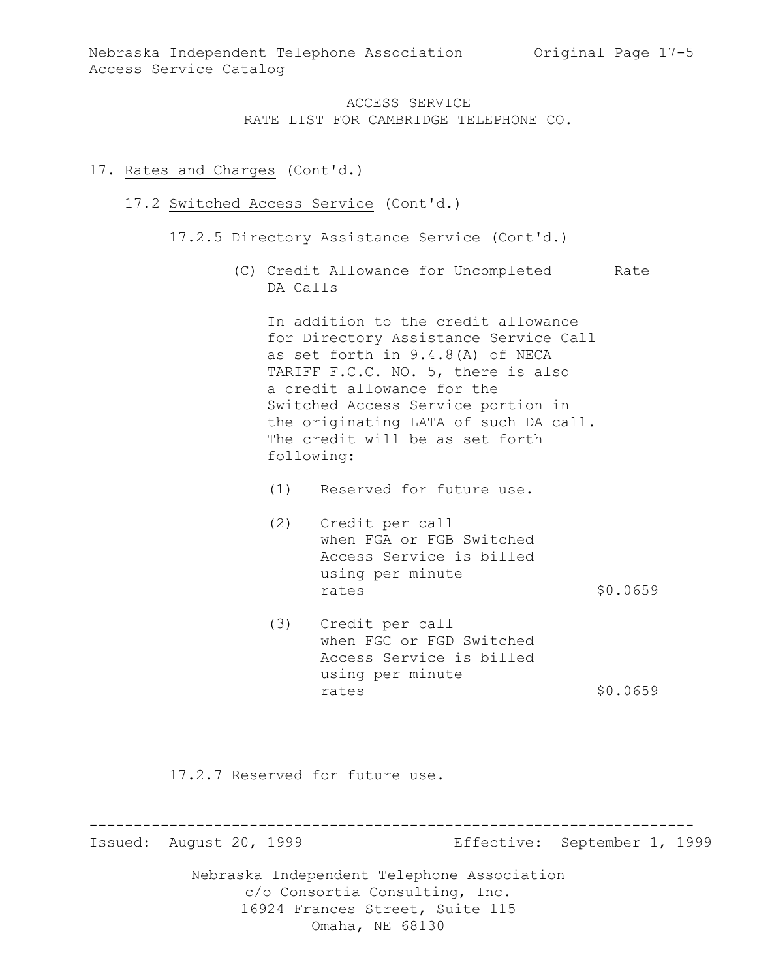### 17. Rates and Charges (Cont'd.)

#### 17.2 Switched Access Service (Cont'd.)

- 17.2.5 Directory Assistance Service (Cont'd.)
	- (C) Credit Allowance for Uncompleted Rate DA Calls

In addition to the credit allowance for Directory Assistance Service Call as set forth in 9.4.8(A) of NECA TARIFF F.C.C. NO. 5, there is also a credit allowance for the Switched Access Service portion in the originating LATA of such DA call. The credit will be as set forth following:

- (1) Reserved for future use.
- (2) Credit per call when FGA or FGB Switched Access Service is billed using per minute rates \$0.0659
- (3) Credit per call when FGC or FGD Switched Access Service is billed using per minute rates \$0.0659

17.2.7 Reserved for future use.

Issued: August 20, 1999 Effective: September 1, 1999

Nebraska Independent Telephone Association c/o Consortia Consulting, Inc. 16924 Frances Street, Suite 115 Omaha, NE 68130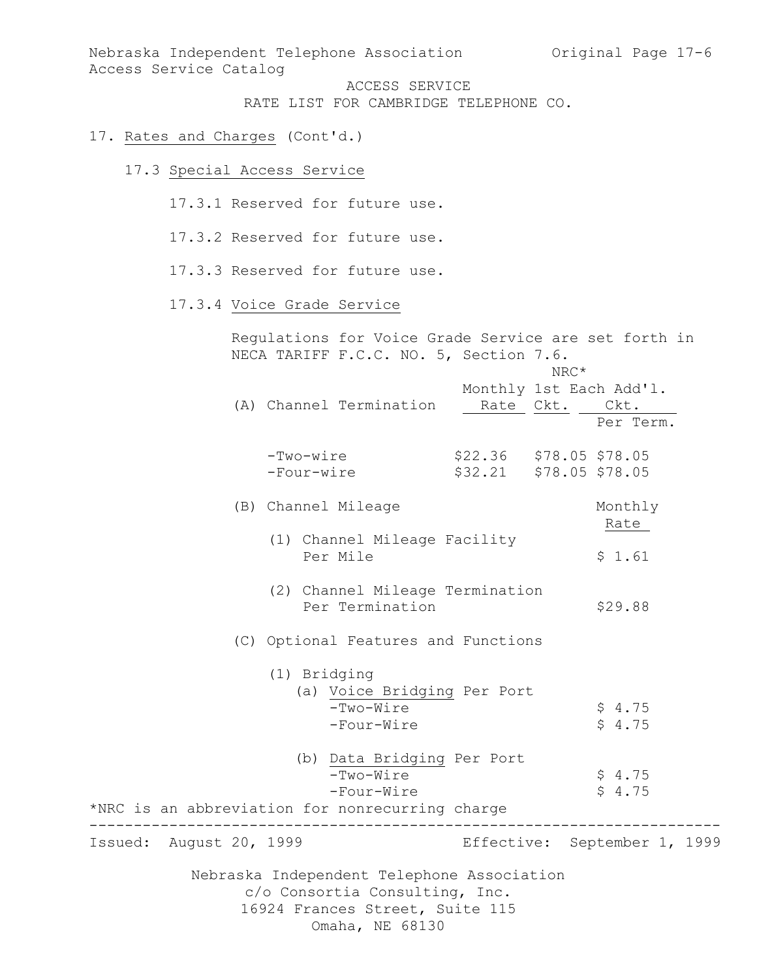Nebraska Independent Telephone Association Original Page 17-6 Access Service Catalog

ACCESS SERVICE RATE LIST FOR CAMBRIDGE TELEPHONE CO.

- 17. Rates and Charges (Cont'd.)
	- 17.3 Special Access Service
		- 17.3.1 Reserved for future use.
		- 17.3.2 Reserved for future use.
		- 17.3.3 Reserved for future use.
		- 17.3.4 Voice Grade Service

Nebraska Independent Telephone Association c/o Consortia Consulting, Inc. 16924 Frances Street, Suite 115 Omaha, NE 68130 Regulations for Voice Grade Service are set forth in NECA TARIFF F.C.C. NO. 5, Section 7.6. NRC\* Monthly 1st Each Add'l. (A) Channel Termination Rate Ckt. Ckt. Per Term. -Two-wire \$22.36 \$78.05 \$78.05 \$32.21 \$78.05 \$78.05 (B) Channel Mileage Monthly Rate (1) Channel Mileage Facility Per Mile  $$1.61$  (2) Channel Mileage Termination Per Termination \$29.88 (C) Optional Features and Functions (1) Bridging (a) Voice Bridging Per Port  $-Two-Wire$  \$ 4.75 -Four-Wire \$ 4.75 (b) Data Bridging Per Port  $-Two-Wire$  \$ 4.75  $-Four-Wire$  \$ 4.75 \*NRC is an abbreviation for nonrecurring charge ----------------------------------------------------------------------- Issued: August 20, 1999 Effective: September 1, 1999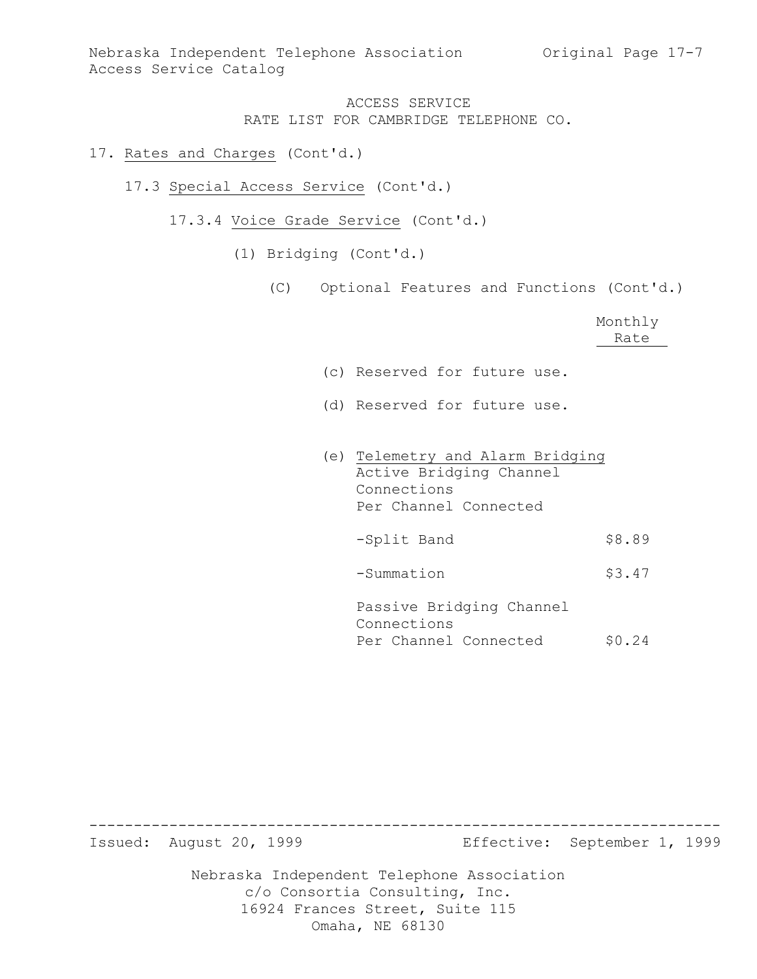### 17. Rates and Charges (Cont'd.)

- 17.3 Special Access Service (Cont'd.)
	- 17.3.4 Voice Grade Service (Cont'd.)
		- (1) Bridging (Cont'd.)
			- (C) Optional Features and Functions (Cont'd.)

|                                  | Monthly<br>Rate |
|----------------------------------|-----------------|
|                                  |                 |
| (c) Reserved for future use.     |                 |
| (d) Reserved for future use.     |                 |
|                                  |                 |
|                                  |                 |
| (e) Telemetry and Alarm Bridging |                 |
| Active Bridging Channel          |                 |
| Connections                      |                 |
| Per Channel Connected            |                 |
|                                  |                 |
| -Split Band                      | \$8.89          |
|                                  |                 |
| -Summation                       | \$3.47          |
|                                  |                 |
| Passive Bridging Channel         |                 |
| Connections                      |                 |
| Per Channel Connected            | \$0.24          |
|                                  |                 |

Issued: August 20, 1999 Effective: September 1, 1999

Nebraska Independent Telephone Association c/o Consortia Consulting, Inc. 16924 Frances Street, Suite 115 Omaha, NE 68130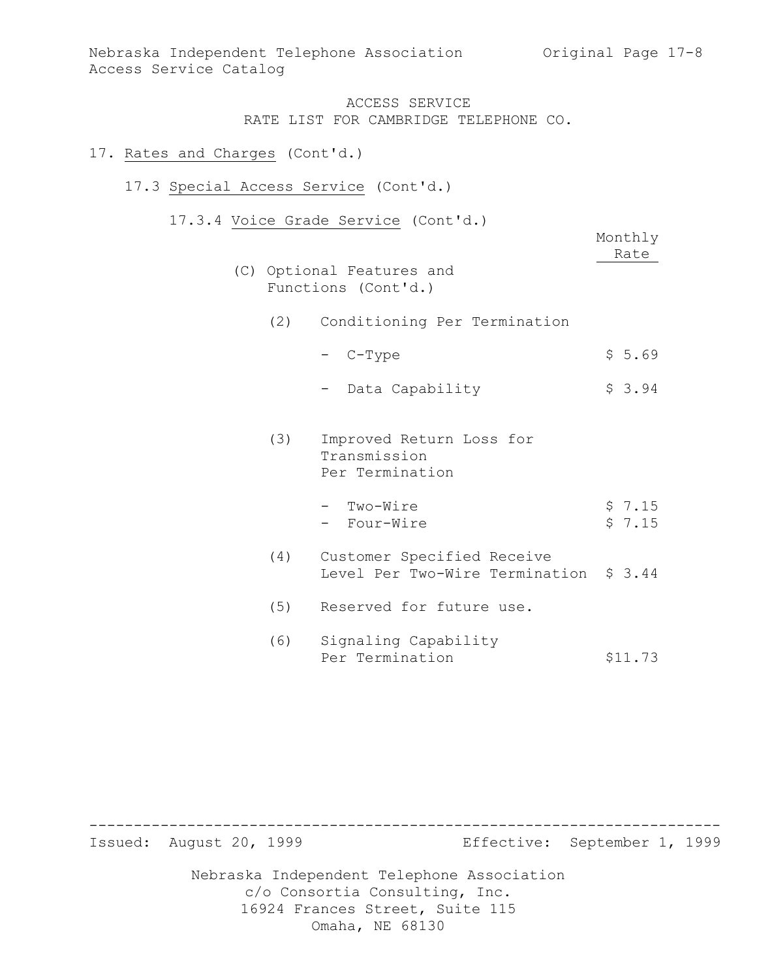### 17. Rates and Charges (Cont'd.)

### 17.3 Special Access Service (Cont'd.)

17.3.4 Voice Grade Service (Cont'd.)

|     |                                                                      | Monthly<br>Rate  |
|-----|----------------------------------------------------------------------|------------------|
|     | (C) Optional Features and<br>Functions (Cont'd.)                     |                  |
|     | (2) Conditioning Per Termination                                     |                  |
|     | - C-Type                                                             | \$5.69           |
|     | Data Capability                                                      | \$3.94           |
| (3) | Improved Return Loss for<br>Transmission<br>Per Termination          |                  |
|     | Two-Wire<br>- Four-Wire                                              | \$7.15<br>\$7.15 |
| (4) | Customer Specified Receive<br>Level Per Two-Wire Termination \$ 3.44 |                  |
| (5) | Reserved for future use.                                             |                  |
| (6) | Signaling Capability<br>Per Termination                              | \$11.73          |

Nebraska Independent Telephone Association c/o Consortia Consulting, Inc. 16924 Frances Street, Suite 115 Omaha, NE 68130 ----------------------------------------------------------------------- Issued: August 20, 1999 Effective: September 1, 1999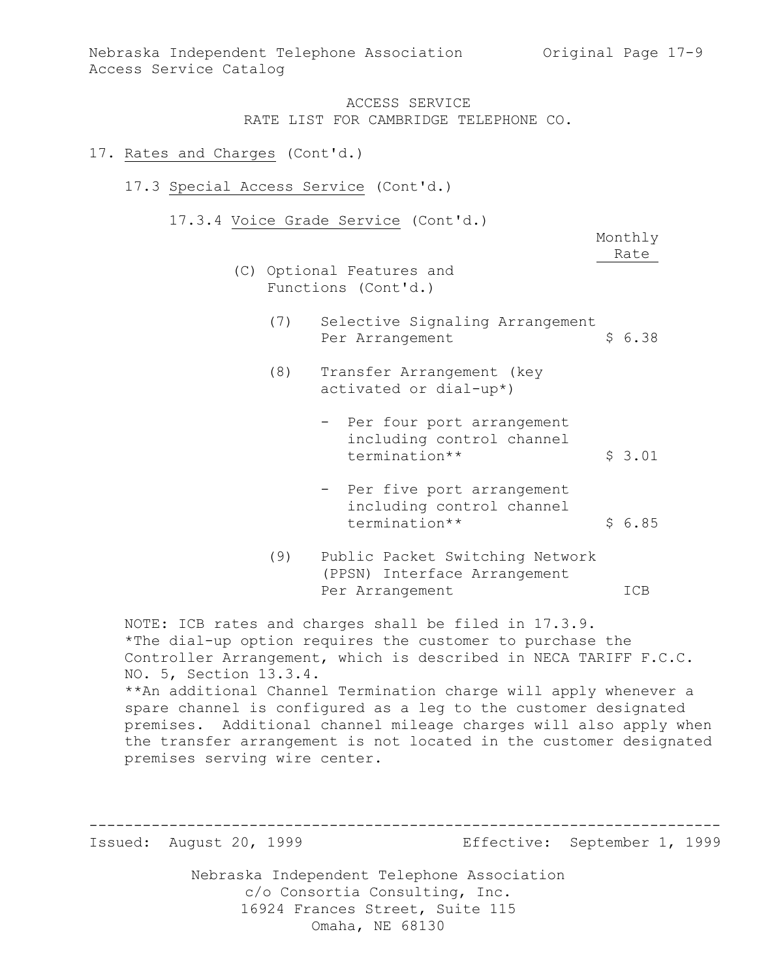#### 17. Rates and Charges (Cont'd.)

#### 17.3 Special Access Service (Cont'd.)

17.3.4 Voice Grade Service (Cont'd.)

Monthly Rate

- (C) Optional Features and Functions (Cont'd.)
	- (7) Selective Signaling Arrangement Per Arrangement \$ 6.38
	- (8) Transfer Arrangement (key activated or dial-up\*)
		- Per four port arrangement including control channel termination\*\* \$ 3.01
		- Per five port arrangement including control channel termination\*\* \$ 6.85
	- (9) Public Packet Switching Network (PPSN) Interface Arrangement Per Arrangement ICB

NOTE: ICB rates and charges shall be filed in 17.3.9. \*The dial-up option requires the customer to purchase the Controller Arrangement, which is described in NECA TARIFF F.C.C. NO. 5, Section 13.3.4. \*\*An additional Channel Termination charge will apply whenever a spare channel is configured as a leg to the customer designated premises. Additional channel mileage charges will also apply when the transfer arrangement is not located in the customer designated premises serving wire center.

-----------------------------------------------------------------------

Issued: August 20, 1999 Effective: September 1, 1999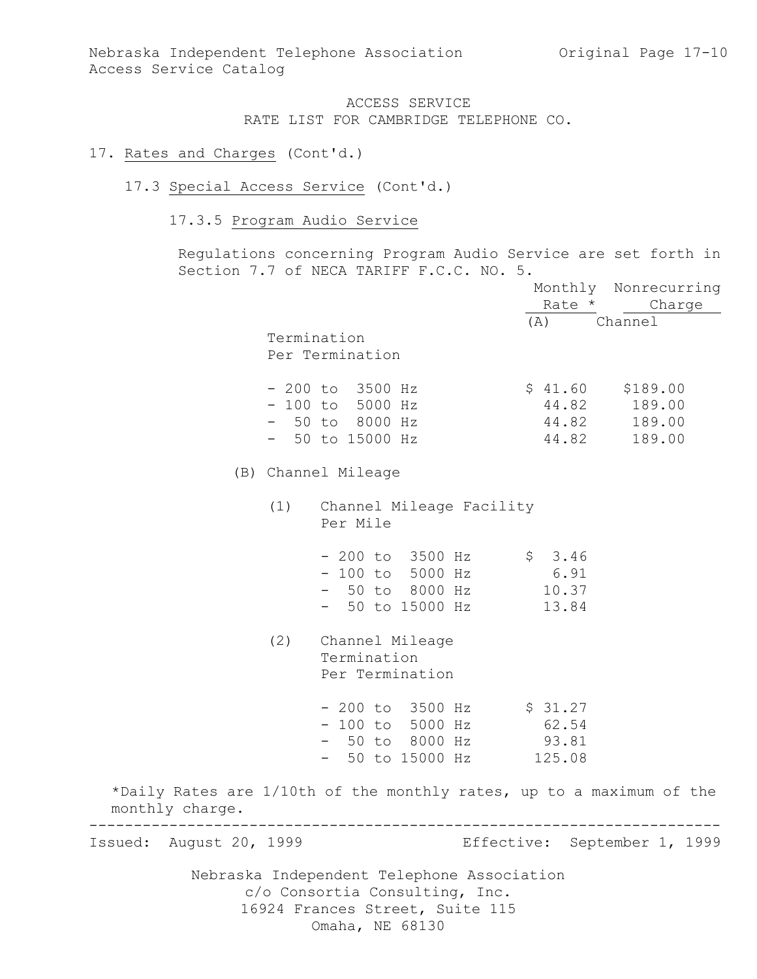#### 17. Rates and Charges (Cont'd.)

#### 17.3 Special Access Service (Cont'd.)

# 17.3.5 Program Audio Service

Regulations concerning Program Audio Service are set forth in Section 7.7 of NECA TARIFF F.C.C. NO. 5.

|                                                                                         |     |                                                                                                                   |                              |       | Monthly Nonrecurring<br>Rate * Charge                         |  |
|-----------------------------------------------------------------------------------------|-----|-------------------------------------------------------------------------------------------------------------------|------------------------------|-------|---------------------------------------------------------------|--|
|                                                                                         |     | Termination<br>Per Termination                                                                                    |                              |       | (A) Channel                                                   |  |
|                                                                                         |     | $-200$ to $3500$ Hz<br>$-100$ to 5000 Hz<br>$-50$ to 8000 Hz<br>$-50$ to 15000 Hz                                 |                              | 44.82 | $$41.60$ $$189.00$<br>44.82  189.00<br>44.82 189.00<br>189.00 |  |
|                                                                                         |     | (B) Channel Mileage                                                                                               |                              |       |                                                               |  |
|                                                                                         |     | (1) Channel Mileage Facility<br>Per Mile                                                                          |                              |       |                                                               |  |
|                                                                                         |     | $-200$ to 3500 Hz $\frac{1}{5}$ 3.46<br>- 100 to 5000 Hz 6.91<br>- 50 to 8000 Hz 10.37<br>- 50 to 15000 Hz 13.84  |                              |       |                                                               |  |
|                                                                                         | (2) | Channel Mileage<br>Termination<br>Per Termination                                                                 |                              |       |                                                               |  |
|                                                                                         |     | $-200$ to 3500 Hz $\frac{27}{100}$<br>$-100$ to 5000 Hz 62.54<br>- 50 to 8000 Hz 93.81<br>- 50 to 15000 Hz 125.08 |                              |       |                                                               |  |
| *Daily Rates are 1/10th of the monthly rates, up to a maximum of the<br>monthly charge. |     |                                                                                                                   |                              |       |                                                               |  |
| Issued: August 20, 1999                                                                 |     |                                                                                                                   | Effective: September 1, 1999 |       |                                                               |  |
|                                                                                         |     | Nebraska Independent Telephone Association<br>c/o Consortia Consulting, Inc.<br>16924 Frances Street, Suite 115   |                              |       |                                                               |  |

Omaha, NE 68130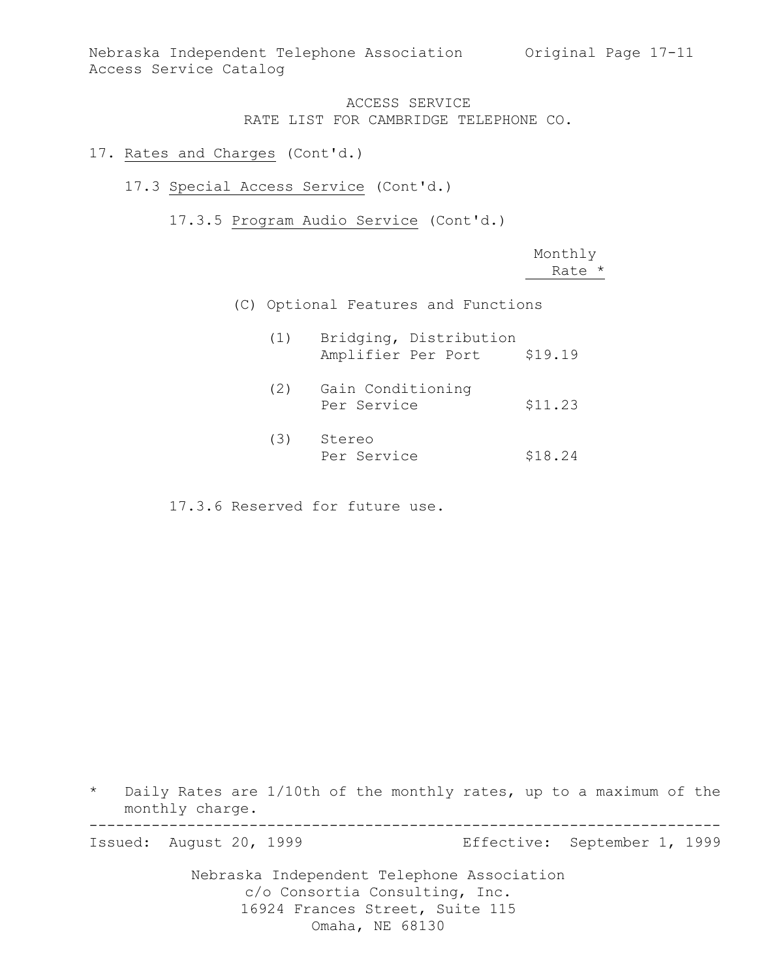- 17. Rates and Charges (Cont'd.)
	- 17.3 Special Access Service (Cont'd.)

17.3.5 Program Audio Service (Cont'd.)

Monthly Rate \*

(C) Optional Features and Functions

| (1) | Bridging, Distribution<br>Amplifier Per Port | \$19.19 |
|-----|----------------------------------------------|---------|
| (2) | Gain Conditioning<br>Per Service             | \$11.23 |
| (3) | Stereo<br>Per Service                        | \$18.24 |

17.3.6 Reserved for future use.

\* Daily Rates are 1/10th of the monthly rates, up to a maximum of the monthly charge. -----------------------------------------------------------------------

Issued: August 20, 1999 Effective: September 1, 1999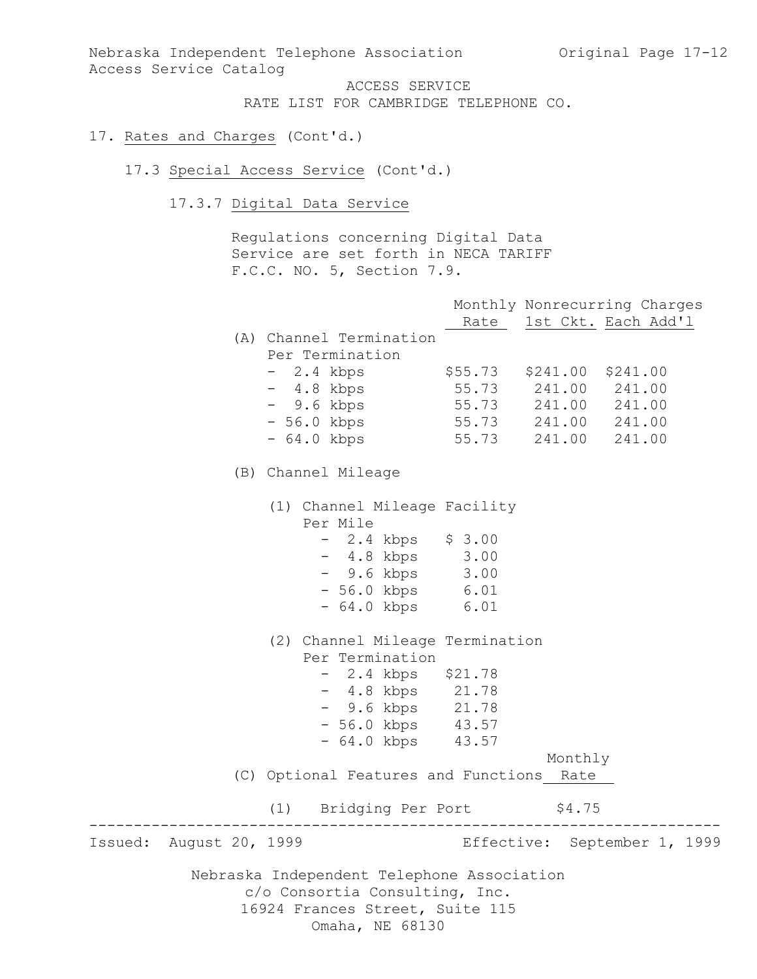Nebraska Independent Telephone Association Original Page 17-12 Access Service Catalog

> ACCESS SERVICE RATE LIST FOR CAMBRIDGE TELEPHONE CO.

### 17. Rates and Charges (Cont'd.)

## 17.3 Special Access Service (Cont'd.)

17.3.7 Digital Data Service

Regulations concerning Digital Data Service are set forth in NECA TARIFF F.C.C. NO. 5, Section 7.9.

|                                                                                                                 |                     |                           | Monthly Nonrecurring Charges<br>Rate 1st Ckt. Each Add'l |
|-----------------------------------------------------------------------------------------------------------------|---------------------|---------------------------|----------------------------------------------------------|
| (A) Channel Termination                                                                                         |                     |                           |                                                          |
| Per Termination                                                                                                 |                     |                           |                                                          |
| $-2.4$ kbps                                                                                                     |                     | \$55.73 \$241.00 \$241.00 |                                                          |
| - 4.8 kbps 55.73 241.00 241.00                                                                                  |                     |                           |                                                          |
| - 9.6 kbps                                                                                                      |                     | 55.73 241.00 241.00       |                                                          |
| - 56.0 kbps                                                                                                     |                     | 55.73 241.00 241.00       |                                                          |
| - 64.0 kbps                                                                                                     |                     | 55.73 241.00 241.00       |                                                          |
| (B) Channel Mileage                                                                                             |                     |                           |                                                          |
| (1) Channel Mileage Facility<br>Per Mile                                                                        |                     |                           |                                                          |
|                                                                                                                 |                     |                           |                                                          |
|                                                                                                                 |                     |                           |                                                          |
|                                                                                                                 |                     |                           |                                                          |
|                                                                                                                 |                     |                           |                                                          |
| - 2.4 kbps \$3.00<br>- 4.8 kbps 3.00<br>- 9.6 kbps 3.00<br>- 56.0 kbps 6.01<br>- 64.0 kbps 6.01                 |                     |                           |                                                          |
| (2) Channel Mileage Termination                                                                                 |                     |                           |                                                          |
| Per Termination                                                                                                 |                     |                           |                                                          |
| $-2.4$ kbps $$21.78$                                                                                            |                     |                           |                                                          |
| - 4.8 kbps 21.78                                                                                                |                     |                           |                                                          |
| - 9.6 kbps 21.78                                                                                                |                     |                           |                                                          |
| $-56.0$ kbps $43.57$                                                                                            |                     |                           |                                                          |
| - 64.0 kbps 43.57                                                                                               |                     |                           |                                                          |
|                                                                                                                 |                     | Monthly                   |                                                          |
| (C) Optional Features and Functions Rate                                                                        |                     |                           |                                                          |
| (1) Bridging Per Port                                                                                           | . _ _ _ _ _ _ _ _ _ | \$4.75                    |                                                          |
| August 20, 1999<br>Issued:                                                                                      |                     |                           | Effective: September 1, 1999                             |
| Nebraska Independent Telephone Association<br>c/o Consortia Consulting, Inc.<br>16924 Frances Street, Suite 115 |                     |                           |                                                          |
| Omaha, NE 68130                                                                                                 |                     |                           |                                                          |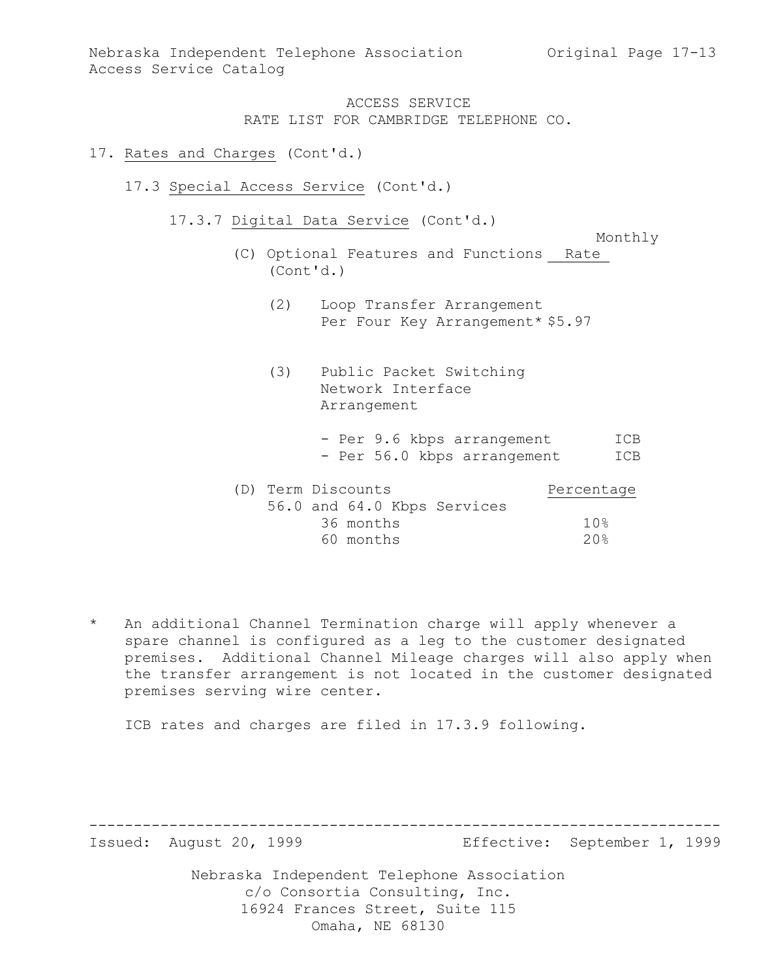#### 17. Rates and Charges (Cont'd.)

- 17.3 Special Access Service (Cont'd.)
	- 17.3.7 Digital Data Service (Cont'd.)

Monthly

- (C) Optional Features and Functions Rate (Cont'd.)
	- (2) Loop Transfer Arrangement Per Four Key Arrangement\* \$5.97
	- (3) Public Packet Switching Network Interface Arrangement
		- Per 9.6 kbps arrangement ICB - Per 56.0 kbps arrangement ICB

| (D) Term Discounts |           |                             | Percentage      |  |
|--------------------|-----------|-----------------------------|-----------------|--|
|                    |           | 56.0 and 64.0 Kbps Services |                 |  |
|                    | 36 months |                             | 10%             |  |
|                    | 60 months |                             | 20 <sup>8</sup> |  |

\* An additional Channel Termination charge will apply whenever a spare channel is configured as a leg to the customer designated premises. Additional Channel Mileage charges will also apply when the transfer arrangement is not located in the customer designated premises serving wire center.

-----------------------------------------------------------------------

ICB rates and charges are filed in 17.3.9 following.

Issued: August 20, 1999 Effective: September 1, 1999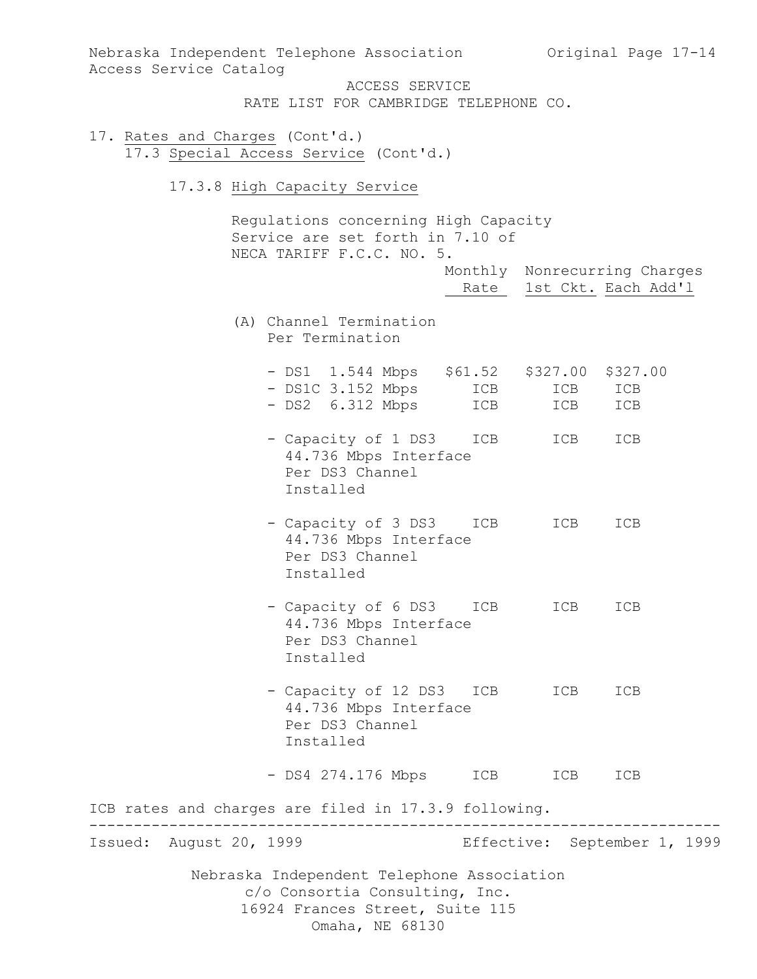Nebraska Independent Telephone Association c/o Consortia Consulting, Inc. 16924 Frances Street, Suite 115 Omaha, NE 68130 Nebraska Independent Telephone Association Original Page 17-14 Access Service Catalog ACCESS SERVICE RATE LIST FOR CAMBRIDGE TELEPHONE CO. 17. Rates and Charges (Cont'd.) 17.3 Special Access Service (Cont'd.) 17.3.8 High Capacity Service Regulations concerning High Capacity Service are set forth in 7.10 of NECA TARIFF F.C.C. NO. 5. Monthly Nonrecurring Charges Rate 1st Ckt. Each Add'l (A) Channel Termination Per Termination - DS1 1.544 Mbps \$61.52 \$327.00 \$327.00 - DS1C 3.152 Mbps ICB ICB ICB - DS2 6.312 Mbps ICB ICB ICB - Capacity of 1 DS3 ICB ICB ICB 44.736 Mbps Interface Per DS3 Channel Installed - Capacity of 3 DS3 ICB ICB ICB 44.736 Mbps Interface Per DS3 Channel Installed - Capacity of 6 DS3 ICB ICB ICB 44.736 Mbps Interface Per DS3 Channel Installed - Capacity of 12 DS3 ICB ICB ICB 44.736 Mbps Interface Per DS3 Channel Installed - DS4 274.176 Mbps ICB ICB ICB ICB rates and charges are filed in 17.3.9 following. ----------------------------------------------------------------------- Issued: August 20, 1999 Effective: September 1, 1999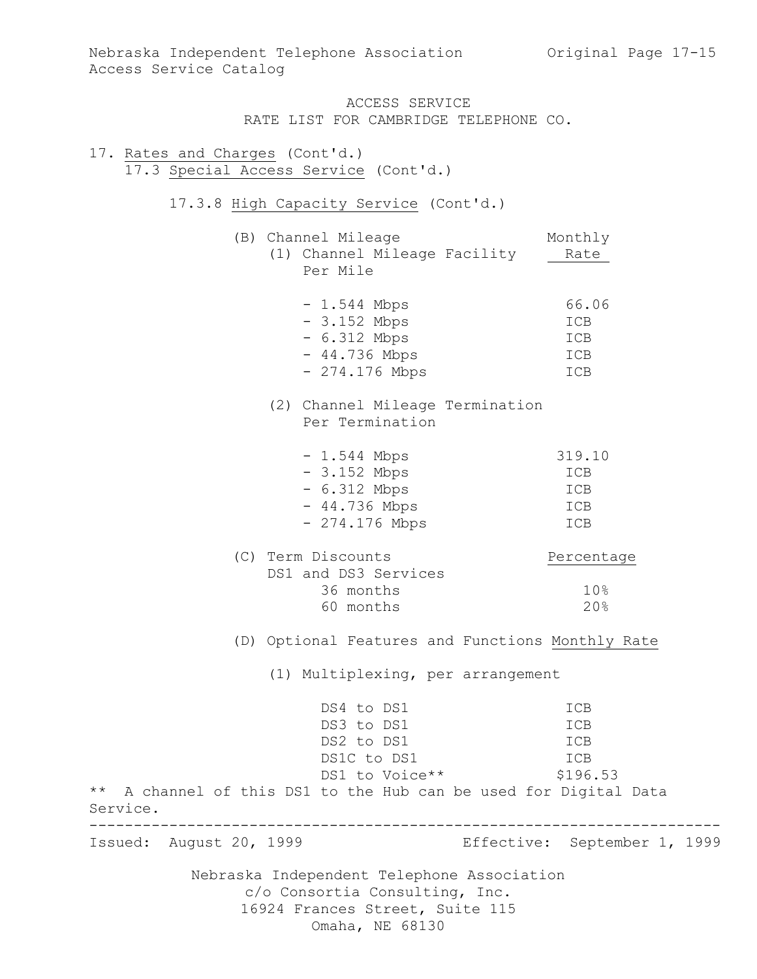# 17. Rates and Charges (Cont'd.) 17.3 Special Access Service (Cont'd.)

### 17.3.8 High Capacity Service (Cont'd.)

(B) Channel Mileage Monthly (1) Channel Mileage Facility Rate Per Mile

| $-1.544$ Mbps   | 66.06      |
|-----------------|------------|
| $-3.152$ Mbps   | ICB        |
| $-6.312$ Mbps   | ICB        |
| $-44.736$ Mbps  | ICB        |
| $-274.176$ Mbps | <b>TCB</b> |

(2) Channel Mileage Termination Per Termination

| $-1.544$ Mbps   | 319.10     |
|-----------------|------------|
| $-3.152$ Mbps   | ICB        |
| $-6.312$ Mbps   | ICB        |
| $-44.736$ Mbps  | ICB        |
| $-274.176$ Mbps | <b>TCB</b> |

(C) Term Discounts Percentage DS1 and DS3 Services 36 months 10% 60 months 20%

(D) Optional Features and Functions Monthly Rate

(1) Multiplexing, per arrangement

|                                                                              | DS4 to DS1<br>DS3 to DS1 | ICB<br>ICB                   |  |
|------------------------------------------------------------------------------|--------------------------|------------------------------|--|
|                                                                              | DS2 to DS1               | ICB                          |  |
|                                                                              | DS1C to DS1              | ICB                          |  |
|                                                                              | DS1 to Voice**           | \$196.53                     |  |
| ** A channel of this DS1 to the Hub can be used for Digital Data<br>Service. |                          |                              |  |
| Issued: August 20, 1999                                                      |                          | Effective: September 1, 1999 |  |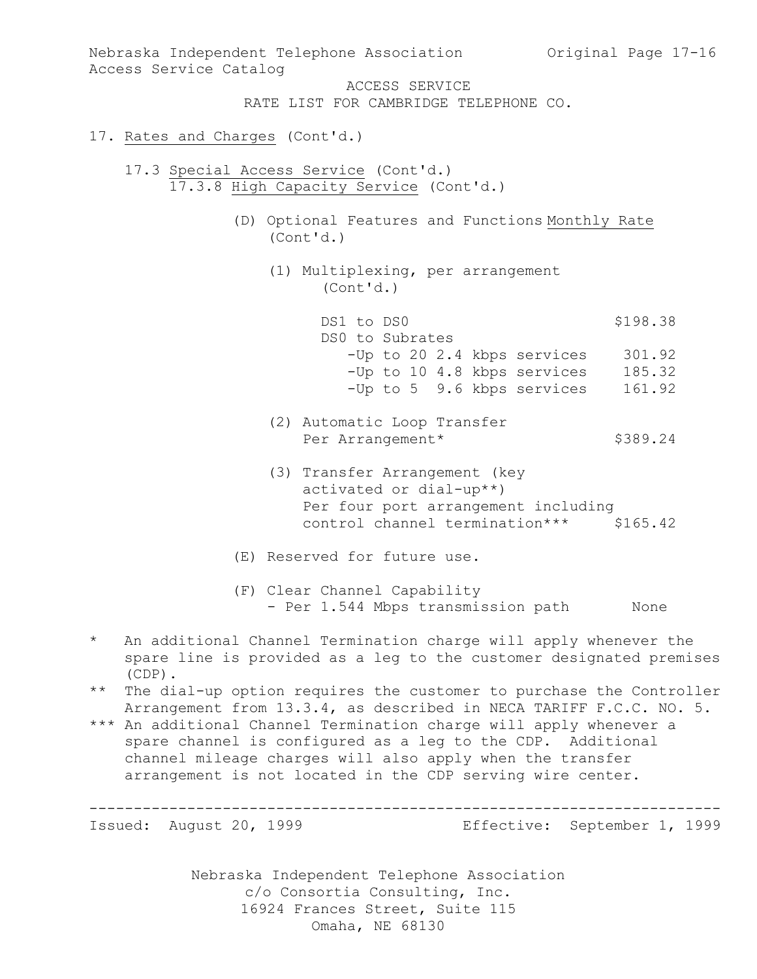Nebraska Independent Telephone Association c/o Consortia Consulting, Inc. 16924 Frances Street, Suite 115 Nebraska Independent Telephone Association Original Page 17-16 Access Service Catalog ACCESS SERVICE RATE LIST FOR CAMBRIDGE TELEPHONE CO. 17. Rates and Charges (Cont'd.) 17.3 Special Access Service (Cont'd.) 17.3.8 High Capacity Service (Cont'd.) (D) Optional Features and Functions Monthly Rate (Cont'd.) (1) Multiplexing, per arrangement (Cont'd.) DS1 to DS0 \$198.38 DS0 to Subrates -Up to 20 2.4 kbps services 301.92 -Up to 10 4.8 kbps services 185.32 -Up to 5 9.6 kbps services 161.92 (2) Automatic Loop Transfer Per Arrangement\* \$389.24 (3) Transfer Arrangement (key activated or dial-up\*\*) Per four port arrangement including control channel termination\*\*\* \$165.42 (E) Reserved for future use. (F) Clear Channel Capability - Per 1.544 Mbps transmission path None \* An additional Channel Termination charge will apply whenever the spare line is provided as a leg to the customer designated premises (CDP). \*\* The dial-up option requires the customer to purchase the Controller Arrangement from 13.3.4, as described in NECA TARIFF F.C.C. NO. 5. \*\*\* An additional Channel Termination charge will apply whenever a spare channel is configured as a leg to the CDP. Additional channel mileage charges will also apply when the transfer arrangement is not located in the CDP serving wire center. ----------------------------------------------------------------------- Issued: August 20, 1999 Effective: September 1, 1999

Omaha, NE 68130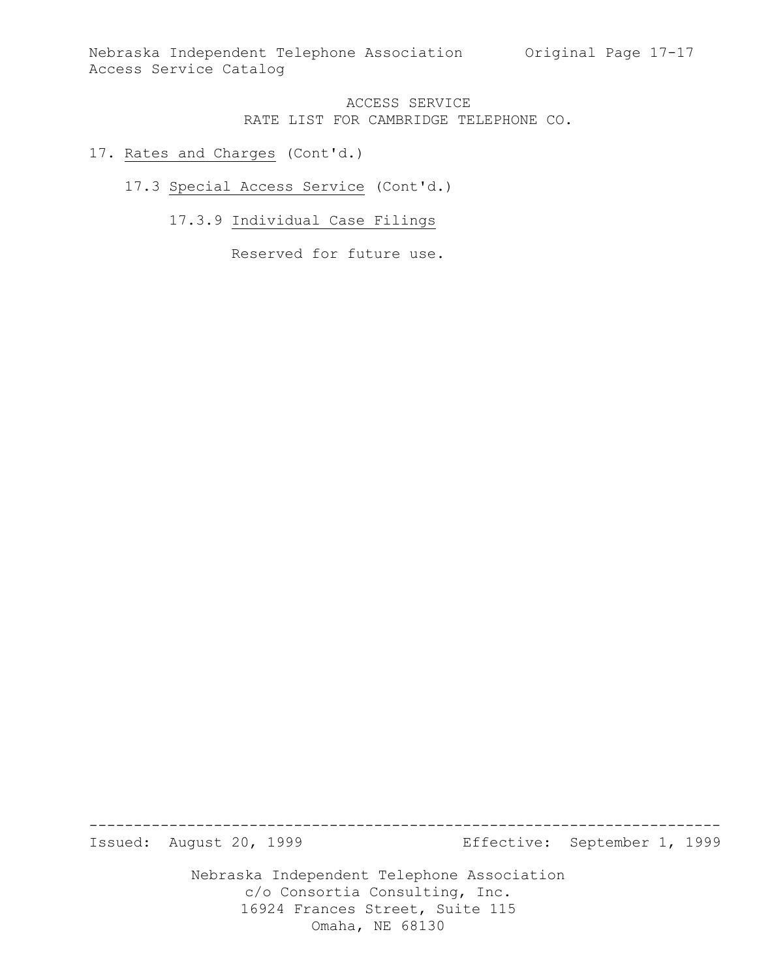### 17. Rates and Charges (Cont'd.)

### 17.3 Special Access Service (Cont'd.)

# 17.3.9 Individual Case Filings

Reserved for future use.

Issued: August 20, 1999 Effective: September 1, 1999

Nebraska Independent Telephone Association c/o Consortia Consulting, Inc. 16924 Frances Street, Suite 115 Omaha, NE 68130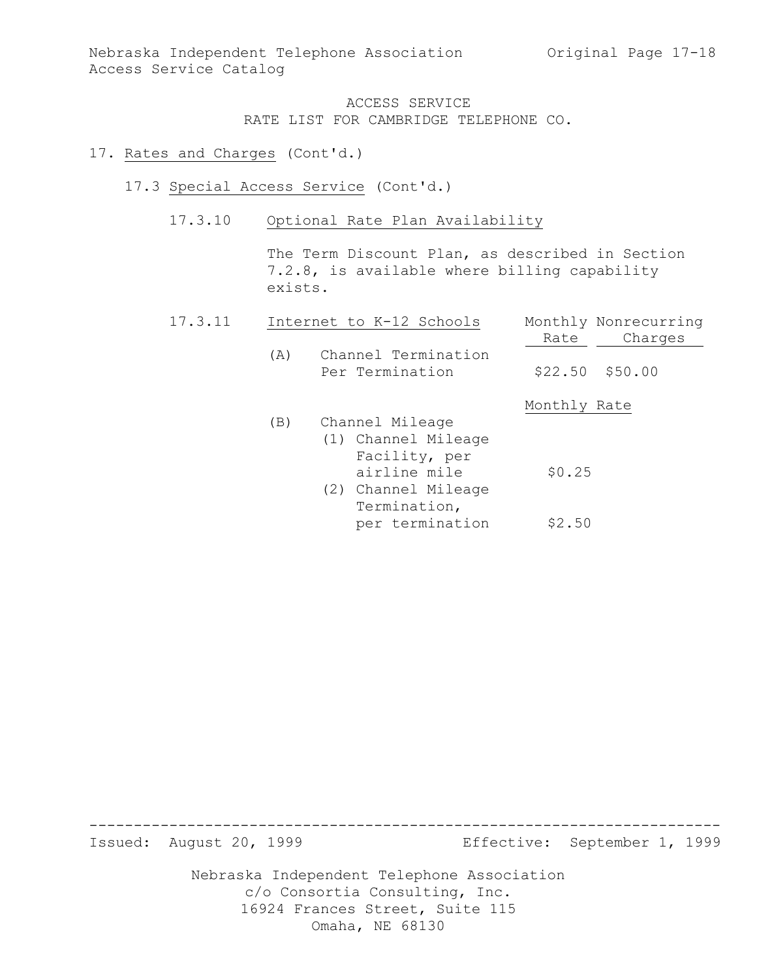Nebraska Independent Telephone Association Original Page 17-18 Access Service Catalog

> ACCESS SERVICE RATE LIST FOR CAMBRIDGE TELEPHONE CO.

#### 17. Rates and Charges (Cont'd.)

- 17.3 Special Access Service (Cont'd.)
	- 17.3.10 Optional Rate Plan Availability

The Term Discount Plan, as described in Section 7.2.8, is available where billing capability exists.

| 17.3.11 |     | Internet to K-12 Schools               | Monthly Nonrecurring |  |
|---------|-----|----------------------------------------|----------------------|--|
|         |     |                                        | Charges<br>Rate      |  |
|         | (A) | Channel Termination<br>Per Termination | $$22.50$ $$50.00$    |  |
|         |     |                                        | Monthly Rate         |  |
|         | (B) | Channel Mileage                        |                      |  |
|         |     | (1) Channel Mileage                    |                      |  |
|         |     | Facility, per                          |                      |  |
|         |     | airline mile                           | \$0.25               |  |
|         |     | (2) Channel Mileage                    |                      |  |
|         |     | Termination,                           |                      |  |
|         |     | per termination                        | \$2.50               |  |

Issued: August 20, 1999 Effective: September 1, 1999

Nebraska Independent Telephone Association c/o Consortia Consulting, Inc. 16924 Frances Street, Suite 115 Omaha, NE 68130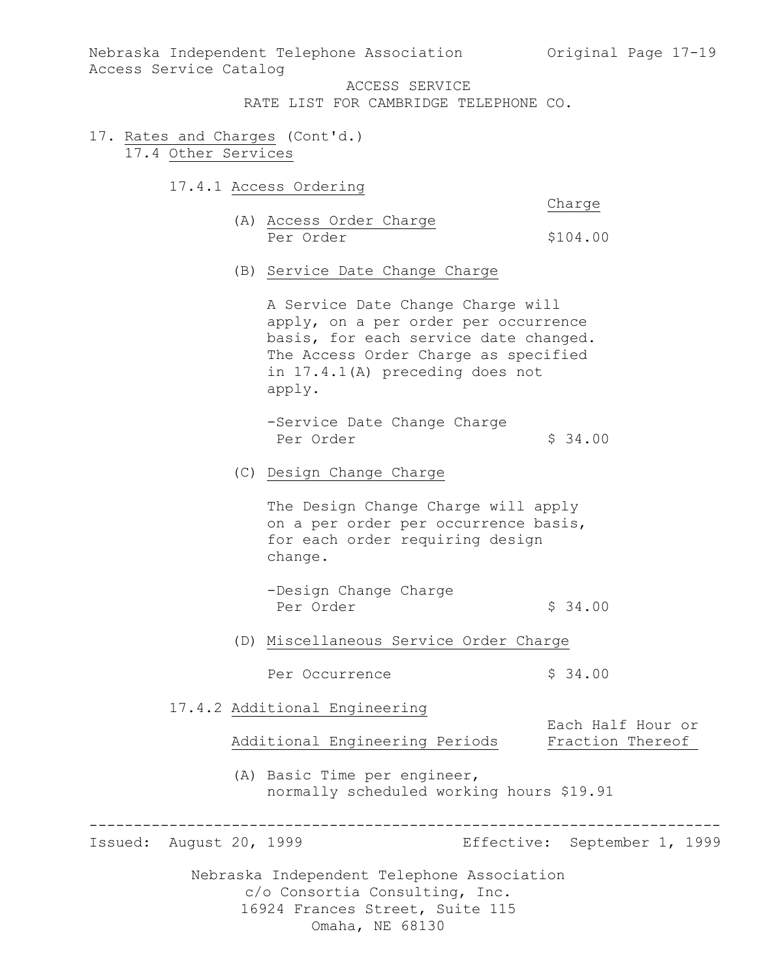Nebraska Independent Telephone Association Original Page 17-19 Access Service Catalog

ACCESS SERVICE

RATE LIST FOR CAMBRIDGE TELEPHONE CO.

- 17. Rates and Charges (Cont'd.) 17.4 Other Services
	- 17.4.1 Access Ordering

Charge

- (A) Access Order Charge Per Order  $$104.00$
- (B) Service Date Change Charge

A Service Date Change Charge will apply, on a per order per occurrence basis, for each service date changed. The Access Order Charge as specified in 17.4.1(A) preceding does not apply.

-Service Date Change Charge Per Order  $\frac{1}{2}$  34.00

(C) Design Change Charge

The Design Change Charge will apply on a per order per occurrence basis, for each order requiring design change.

(D) Miscellaneous Service Order Charge

Per Occurrence  $\frac{1}{2}$  \$ 34.00

17.4.2 Additional Engineering

Each Half Hour or Additional Engineering Periods Fraction Thereof

(A) Basic Time per engineer, normally scheduled working hours \$19.91

-----------------------------------------------------------------------

Issued: August 20, 1999 Effective: September 1, 1999

<sup>-</sup>Design Change Charge Per Order  $\frac{1}{5}$  34.00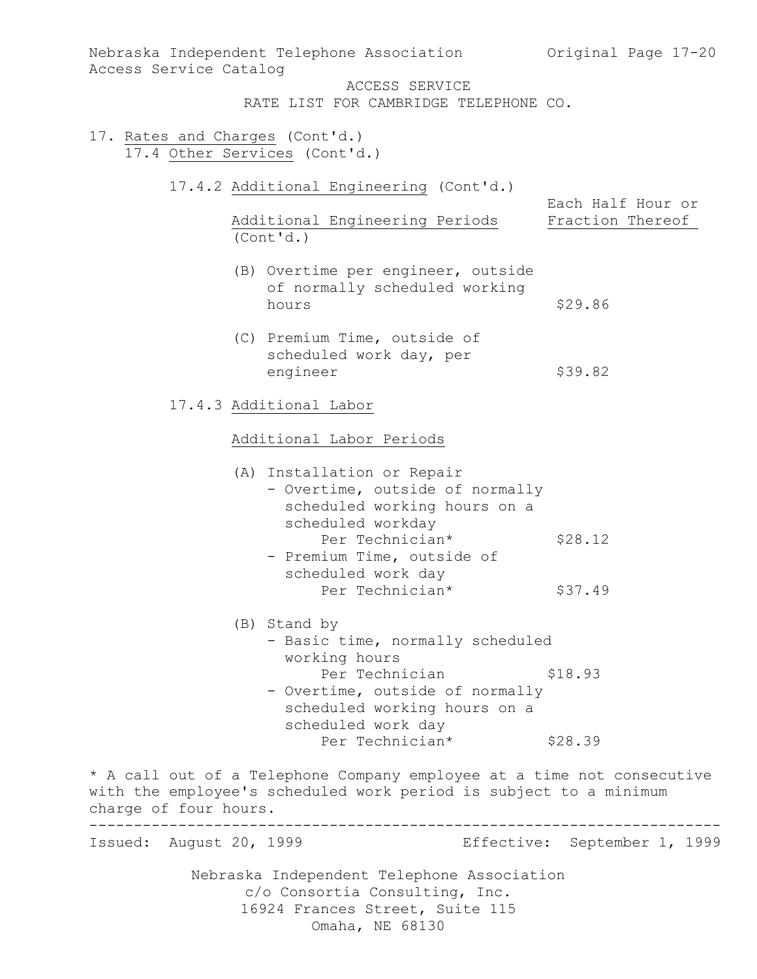| Access Service Catalog  |  | Nebraska Independent Telephone Association barra Original Page 17-20<br>ACCESS SERVICE                                                      |                                       |
|-------------------------|--|---------------------------------------------------------------------------------------------------------------------------------------------|---------------------------------------|
|                         |  | RATE LIST FOR CAMBRIDGE TELEPHONE CO.                                                                                                       |                                       |
|                         |  | 17. Rates and Charges (Cont'd.)<br>17.4 Other Services (Cont'd.)                                                                            |                                       |
|                         |  | 17.4.2 Additional Engineering (Cont'd.)                                                                                                     |                                       |
|                         |  | Additional Engineering Periods<br>(Cont'd.)                                                                                                 | Each Half Hour or<br>Fraction Thereof |
|                         |  | (B) Overtime per engineer, outside<br>of normally scheduled working<br>hours                                                                | \$29.86                               |
|                         |  | (C) Premium Time, outside of<br>scheduled work day, per<br>engineer                                                                         | \$39.82                               |
|                         |  | 17.4.3 Additional Labor                                                                                                                     |                                       |
|                         |  | Additional Labor Periods                                                                                                                    |                                       |
|                         |  | (A) Installation or Repair<br>- Overtime, outside of normally<br>scheduled working hours on a<br>scheduled workday                          |                                       |
|                         |  | Per Technician*<br>- Premium Time, outside of                                                                                               | \$28.12                               |
|                         |  | scheduled work day<br>Per Technician*                                                                                                       | \$37.49                               |
|                         |  | (B) Stand by<br>- Basic time, normally scheduled<br>working hours                                                                           |                                       |
|                         |  | Per Technician<br>- Overtime, outside of normally<br>scheduled working hours on a<br>scheduled work day                                     | \$18.93                               |
|                         |  | Per Technician*                                                                                                                             | \$28.39                               |
| charge of four hours.   |  | * A call out of a Telephone Company employee at a time not consecutive<br>with the employee's scheduled work period is subject to a minimum |                                       |
| Issued: August 20, 1999 |  |                                                                                                                                             | Effective: September 1, 1999          |
|                         |  | Nebraska Independent Telephone Association<br>c/o Consortia Consulting, Inc.<br>16924 Frances Street, Suite 115<br>Omaha, NE 68130          |                                       |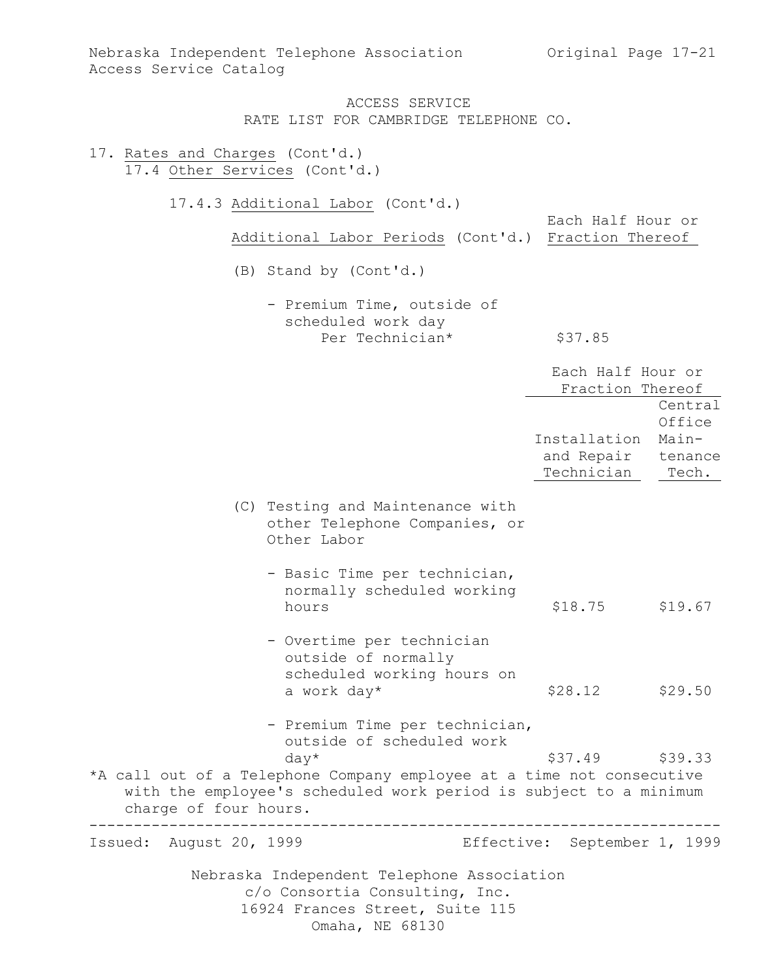Each Half Hour or

## ACCESS SERVICE RATE LIST FOR CAMBRIDGE TELEPHONE CO.

## 17. Rates and Charges (Cont'd.) 17.4 Other Services (Cont'd.)

17.4.3 Additional Labor (Cont'd.)

Additional Labor Periods (Cont'd.) Fraction Thereof

(B) Stand by (Cont'd.)

- Premium Time, outside of scheduled work day Per Technician\* \$37.85

|                         |                                                                                                                                            | Each Half Hour or                              |                                       |
|-------------------------|--------------------------------------------------------------------------------------------------------------------------------------------|------------------------------------------------|---------------------------------------|
|                         |                                                                                                                                            | Fraction Thereof                               |                                       |
|                         |                                                                                                                                            | Installation<br>and Repair<br>Technician Tech. | Central<br>Office<br>Main-<br>tenance |
|                         | (C) Testing and Maintenance with<br>other Telephone Companies, or<br>Other Labor                                                           |                                                |                                       |
|                         | - Basic Time per technician,<br>normally scheduled working<br>hours                                                                        | \$18.75                                        | \$19.67                               |
|                         | - Overtime per technician<br>outside of normally<br>scheduled working hours on<br>a work day*                                              | \$28.12                                        | \$29.50                               |
|                         | - Premium Time per technician,<br>outside of scheduled work<br>$day*$                                                                      | \$37.49                                        | \$39.33                               |
| charge of four hours.   | *A call out of a Telephone Company employee at a time not consecutive<br>with the employee's scheduled work period is subject to a minimum |                                                |                                       |
| Issued: August 20, 1999 |                                                                                                                                            | Effective: September 1, 1999                   |                                       |
|                         | Nebraska Independent Telephone Association<br>c/o Consortia Consulting, Inc.<br>16924 Frances Street, Suite 115                            |                                                |                                       |

Omaha, NE 68130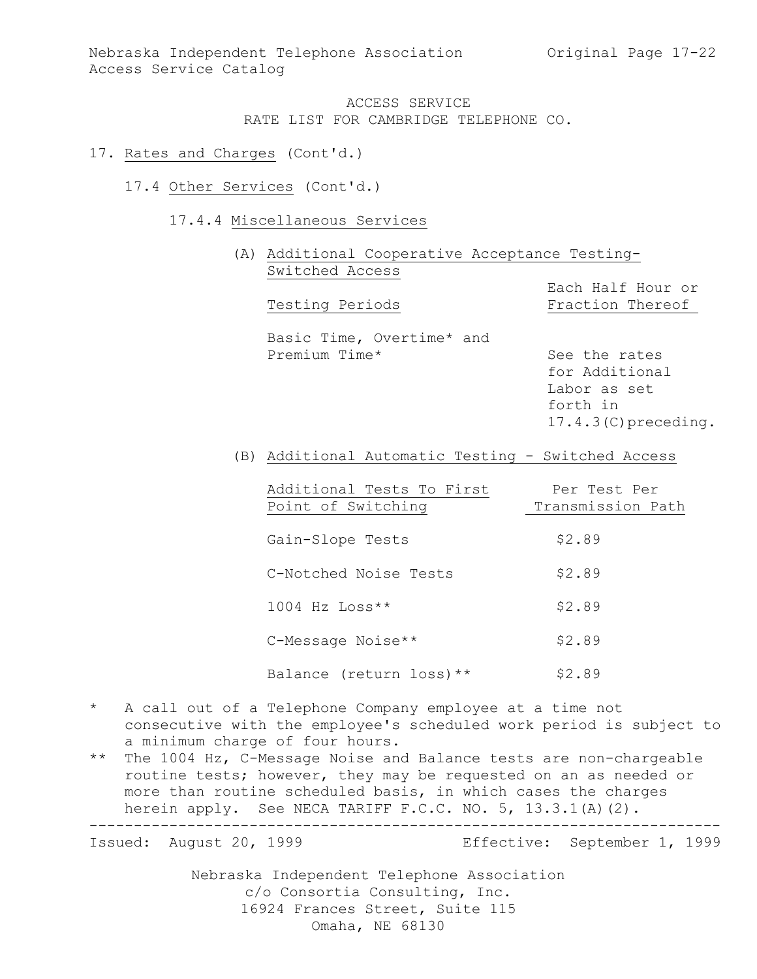#### 17. Rates and Charges (Cont'd.)

- 17.4 Other Services (Cont'd.)
	- 17.4.4 Miscellaneous Services

| (A) Additional Cooperative Acceptance Testing- |                   |
|------------------------------------------------|-------------------|
| Switched Access                                |                   |
|                                                | Each Half Hour or |
| Testing Periods                                | Fraction Thereof  |

Basic Time, Overtime\* and Premium Time\* See the rates

for Additional Labor as set forth in 17.4.3(C)preceding.

(B) Additional Automatic Testing - Switched Access

| Additional Tests To First | Per Test Per      |
|---------------------------|-------------------|
| Point of Switching        | Transmission Path |
| Gain-Slope Tests          | \$2.89            |
| C-Notched Noise Tests     | \$2.89            |
| $1004$ Hz Loss**          | \$2.89            |
| C-Message Noise**         | \$2.89            |
| Balance (return loss) **  | \$2.89            |

- \* A call out of a Telephone Company employee at a time not consecutive with the employee's scheduled work period is subject to a minimum charge of four hours.
- \*\* The 1004 Hz, C-Message Noise and Balance tests are non-chargeable routine tests; however, they may be requested on an as needed or more than routine scheduled basis, in which cases the charges herein apply. See NECA TARIFF F.C.C. NO. 5, 13.3.1(A)(2).

Issued: August 20, 1999 Effective: September 1, 1999

Nebraska Independent Telephone Association c/o Consortia Consulting, Inc. 16924 Frances Street, Suite 115 Omaha, NE 68130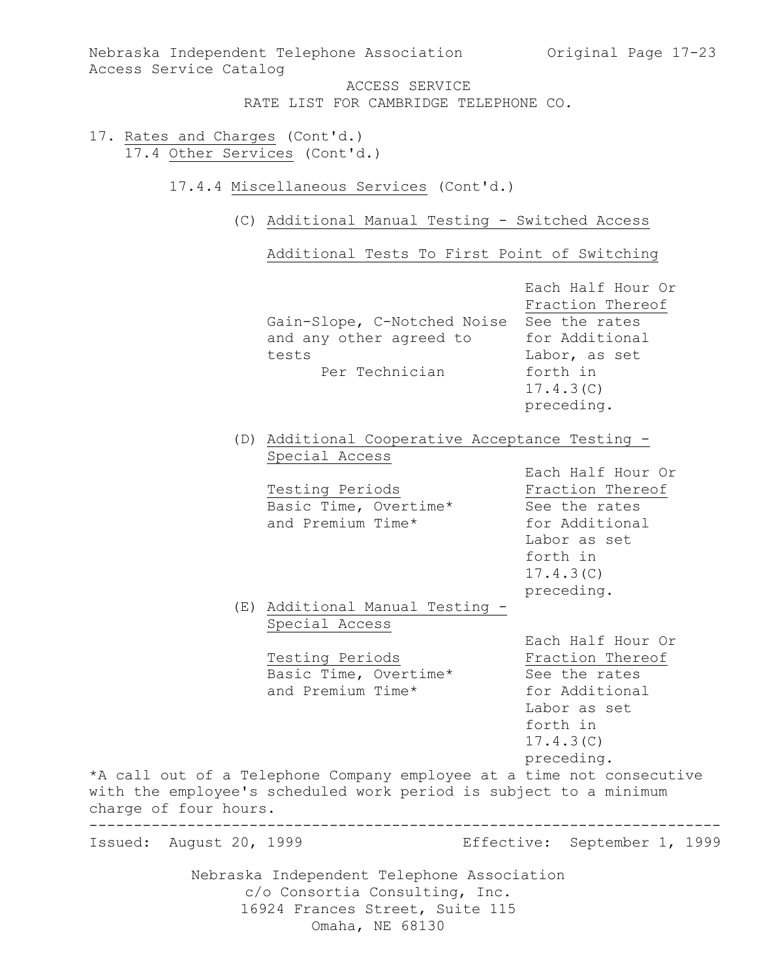Nebraska Independent Telephone Association Original Page 17-23 Access Service Catalog

> ACCESS SERVICE RATE LIST FOR CAMBRIDGE TELEPHONE CO.

- 17. Rates and Charges (Cont'd.) 17.4 Other Services (Cont'd.)
	- 17.4.4 Miscellaneous Services (Cont'd.)
		- (C) Additional Manual Testing Switched Access

Additional Tests To First Point of Switching

|                         | Gain-Slope, C-Notched Noise<br>and any other agreed to<br>tests<br>Per Technician                                                          | Each Half Hour Or<br>Fraction Thereof<br>See the rates<br>for Additional<br>Labor, as set<br>forth in<br>17.4.3(C)<br>preceding. |
|-------------------------|--------------------------------------------------------------------------------------------------------------------------------------------|----------------------------------------------------------------------------------------------------------------------------------|
|                         | (D) Additional Cooperative Acceptance Testing -<br>Special Access                                                                          |                                                                                                                                  |
|                         |                                                                                                                                            | Each Half Hour Or                                                                                                                |
|                         | Testing Periods                                                                                                                            | Fraction Thereof                                                                                                                 |
|                         | Basic Time, Overtime*                                                                                                                      | See the rates                                                                                                                    |
|                         | and Premium Time*                                                                                                                          | for Additional                                                                                                                   |
|                         |                                                                                                                                            | Labor as set                                                                                                                     |
|                         |                                                                                                                                            | forth in                                                                                                                         |
|                         |                                                                                                                                            | 17.4.3(C)                                                                                                                        |
|                         |                                                                                                                                            | preceding.                                                                                                                       |
|                         | (E) Additional Manual Testing -                                                                                                            |                                                                                                                                  |
|                         | Special Access                                                                                                                             |                                                                                                                                  |
|                         |                                                                                                                                            | Each Half Hour Or                                                                                                                |
|                         | Testing Periods                                                                                                                            | Fraction Thereof                                                                                                                 |
|                         | Basic Time, Overtime*                                                                                                                      | See the rates                                                                                                                    |
|                         | and Premium Time*                                                                                                                          | for Additional                                                                                                                   |
|                         |                                                                                                                                            | Labor as set                                                                                                                     |
|                         |                                                                                                                                            | forth in                                                                                                                         |
|                         |                                                                                                                                            | 17.4.3(C)                                                                                                                        |
|                         |                                                                                                                                            | preceding.                                                                                                                       |
| charge of four hours.   | *A call out of a Telephone Company employee at a time not consecutive<br>with the employee's scheduled work period is subject to a minimum |                                                                                                                                  |
| Issued: August 20, 1999 |                                                                                                                                            | Effective: September 1, 1999                                                                                                     |
|                         | Nebraska Independent Telephone Association                                                                                                 |                                                                                                                                  |
|                         | c/o Consortia Consulting, Inc.                                                                                                             |                                                                                                                                  |
|                         | 16924 Frances Street, Suite 115                                                                                                            |                                                                                                                                  |
|                         | Omaha, NE 68130                                                                                                                            |                                                                                                                                  |
|                         |                                                                                                                                            |                                                                                                                                  |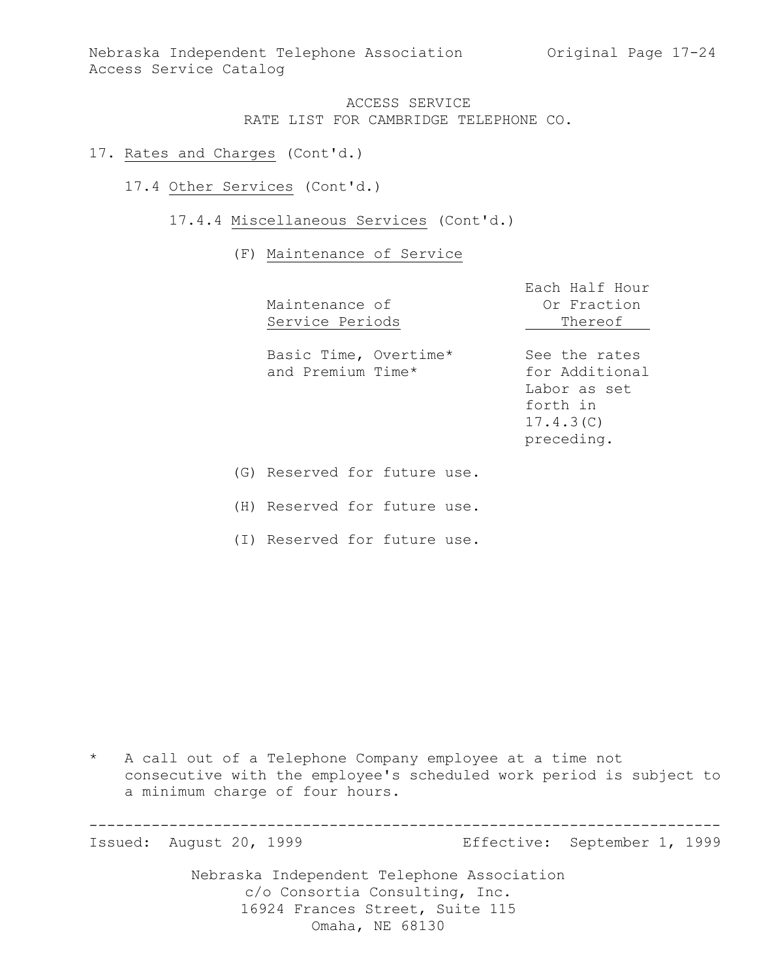Nebraska Independent Telephone Association (Original Page 17-24) Access Service Catalog

> ACCESS SERVICE RATE LIST FOR CAMBRIDGE TELEPHONE CO.

- 17. Rates and Charges (Cont'd.)
	- 17.4 Other Services (Cont'd.)
		- 17.4.4 Miscellaneous Services (Cont'd.)

#### (F) Maintenance of Service

| Maintenance of<br>Service Periods          | Each Half Hour<br>Or Fraction<br>Thereof                                               |  |  |
|--------------------------------------------|----------------------------------------------------------------------------------------|--|--|
| Basic Time, Overtime*<br>and Premium Time* | See the rates<br>for Additional<br>Labor as set<br>forth in<br>17.4.3(C)<br>preceding. |  |  |
| (G) Reserved for future use.               |                                                                                        |  |  |

(H) Reserved for future use.

(I) Reserved for future use.

\* A call out of a Telephone Company employee at a time not consecutive with the employee's scheduled work period is subject to a minimum charge of four hours.

----------------------------------------------------------------------- Issued: August 20, 1999 Effective: September 1, 1999